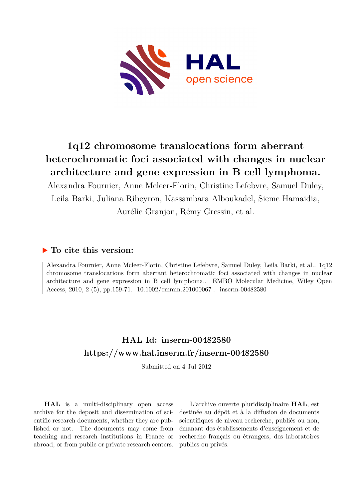

# **1q12 chromosome translocations form aberrant heterochromatic foci associated with changes in nuclear architecture and gene expression in B cell lymphoma.**

Alexandra Fournier, Anne Mcleer-Florin, Christine Lefebvre, Samuel Duley, Leila Barki, Juliana Ribeyron, Kassambara Alboukadel, Sieme Hamaidia, Aurélie Granjon, Rémy Gressin, et al.

# **To cite this version:**

Alexandra Fournier, Anne Mcleer-Florin, Christine Lefebvre, Samuel Duley, Leila Barki, et al.. 1q12 chromosome translocations form aberrant heterochromatic foci associated with changes in nuclear architecture and gene expression in B cell lymphoma.. EMBO Molecular Medicine, Wiley Open Access, 2010, 2 (5), pp.159-71.  $10.1002/$ emmm.201000067. inserm-00482580

# **HAL Id: inserm-00482580 <https://www.hal.inserm.fr/inserm-00482580>**

Submitted on 4 Jul 2012

**HAL** is a multi-disciplinary open access archive for the deposit and dissemination of scientific research documents, whether they are published or not. The documents may come from teaching and research institutions in France or abroad, or from public or private research centers.

L'archive ouverte pluridisciplinaire **HAL**, est destinée au dépôt et à la diffusion de documents scientifiques de niveau recherche, publiés ou non, émanant des établissements d'enseignement et de recherche français ou étrangers, des laboratoires publics ou privés.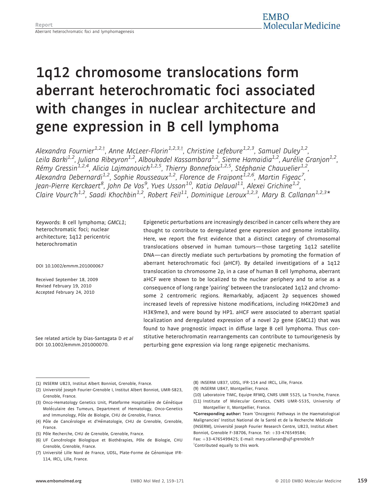# 1q12 chromosome translocations form aberrant heterochromatic foci associated with changes in nuclear architecture and gene expression in B cell lymphoma

Alexandra Fournier<sup>1,2,†</sup>, Anne McLeer-Florin<sup>1,2,3,†</sup>, Christine Lefebure<sup>1,2,3</sup>, Samuel Duley<sup>1,2</sup> , Leila Barki<sup>1,2</sup>, Juliana Ribeyron<sup>1,2</sup>, Alboukadel Kassambara<sup>1,2</sup>, Sieme Hamaidia<sup>1,2</sup>, Aurélie Granjon<sup>1,2</sup>, , Rémy Gressin<sup>1,2,4</sup>, Alicia Lajmanovich<sup>1,2,5</sup>, Thierry Bonnefoix<sup>1,2,5</sup>, Stéphanie Chauvelier<sup>1,2</sup> , Alexandra Debernardi<sup>1,2</sup>, Sophie Rousseaux<sup>1,2</sup>, Florence de Fraipont<sup>1,2,6</sup>, Martin Figeac<sup>7</sup>, , Jean-Pierre Kerckaert<sup>8</sup>, John De Vos<sup>9</sup>, Yves Usson<sup>10</sup>, Katia Delaval<sup>11</sup>, Alexei Grichine<sup>1,2</sup> , Claire Vourc'h<sup>1,2</sup>, Saadi Khochbin<sup>1,2</sup>, Robert Feil<sup>11</sup>, Dominique Leroux<sup>1,2,3</sup>, Mary B. Callanan<sup>1,2,3</sup>\*

Keywords: B cell lymphoma; GMCL1; heterochromatic foci; nuclear architecture; 1q12 pericentric heterochromatin

DOI 10.1002/emmm.201000067

Received September 18, 2009 Revised February 19, 2010 Accepted February 24, 2010

See related article by Dias-Santagata D et al DOI 10.1002/emmm.201000070.

Epigenetic perturbations are increasingly described in cancer cells where they are thought to contribute to deregulated gene expression and genome instability. Here, we report the first evidence that a distinct category of chromosomal translocations observed in human tumours—those targeting 1q12 satellite DNA—can directly mediate such perturbations by promoting the formation of aberrant heterochromatic foci (aHCF). By detailed investigations of a 1q12 translocation to chromosome 2p, in a case of human B cell lymphoma, aberrant aHCF were shown to be localized to the nuclear periphery and to arise as a consequence of long range 'pairing' between the translocated 1q12 and chromosome 2 centromeric regions. Remarkably, adjacent 2p sequences showed increased levels of repressive histone modifications, including H4K20me3 and H3K9me3, and were bound by HP1. aHCF were associated to aberrant spatial localization and deregulated expression of a novel 2p gene (GMCL1) that was found to have prognostic impact in diffuse large B cell lymphoma. Thus constitutive heterochromatin rearrangements can contribute to tumourigenesis by perturbing gene expression via long range epigenetic mechanisms.

- (2) Université Joseph Fourier-Grenoble I, Institut Albert Bonniot, UMR-S823, Grenoble, France.
- (3) Onco-Hematology Genetics Unit, Plateforme Hospitalière de Génétique Moléculaire des Tumeurs, Department of Hematology, Onco-Genetics and Immunology, Pôle de Biologie, CHU de Grenoble, France.
- (4) Pôle de Cancérologie et d'Hématologie, CHU de Grenoble, Grenoble, France.
- (5) Pôle Recherche, CHU de Grenoble, Grenoble, France.
- (6) UF Cancérologie Biologique et Biothérapies, Pôle de Biologie, CHU Grenoble, Grenoble, France.
- (7) Université Lille Nord de France, UDSL, Plate-Forme de Génomique IFR-114, IRCL, Lille, France.
- (8) INSERM U837, UDSL, IFR-114 and IRCL, Lille, France.
- (9) INSERM U847, Montpellier, France.
- (10) Laboratoire TIMC, Equipe RFMQ, CNRS UMR 5525, La Tronche, France. (11) Institute of Molecular Genetics, CNRS UMR-5535, University of
- Montpellier II, Montpellier, France. \*Corresponding author: Team 'Oncogenic Pathways in the Haematological Malignancies' Institut National de la Santé et de la Recherche Médicale (INSERM), Université Joseph Fourier Research Centre, U823, Institut Albert Bonniot, Grenoble F-38706, France. Tel: +33-476549584;
- Fax: +33-4765499425; E-mail: mary.callanan@ujf-grenoble.fr tContributed equally to this work.

<sup>(1)</sup> INSERM U823, Institut Albert Bonniot, Grenoble, France.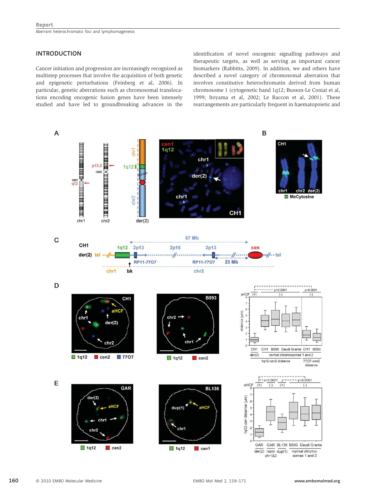# INTRODUCTION

Cancer initiation and progression are increasingly recognized as multistep processes that involve the acquisition of both genetic and epigenetic perturbations (Feinberg et al, 2006). In particular, genetic aberrations such as chromosomal translocations encoding oncogenic fusion genes have been intensely studied and have led to groundbreaking advances in the identification of novel oncogenic signalling pathways and therapeutic targets, as well as serving as important cancer biomarkers (Rabbitts, 2009). In addition, we and others have described a novel category of chromosomal aberration that involves constitutive heterochromatin derived from human chromosome 1 (cytogenetic band 1q12; Busson-Le Coniat et al, 1999; Itoyama et al, 2002; Le Baccon et al, 2001). These rearrangements are particularly frequent in haematopoietic and

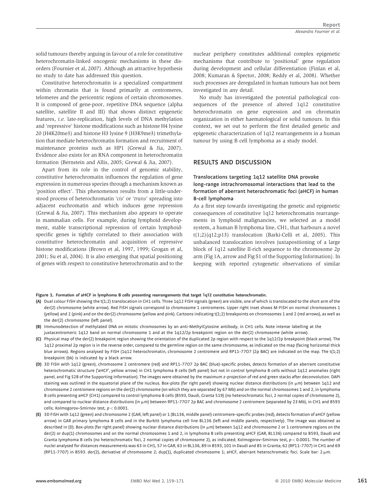solid tumours thereby arguing in favour of a role for constitutive heterochromatin-linked oncogenic mechanisms in these disorders (Fournier et al, 2007). Although an attractive hypothesis no study to date has addressed this question.

Constitutive heterochromatin is a specialized compartment within chromatin that is found primarily at centromeres, telomeres and the pericentric regions of certain chromosomes. It is composed of gene-poor, repetitive DNA sequence (alpha satellite, satellite II and III) that shows distinct epigenetic features, i.e. late-replication, high levels of DNA methylation and 'repressive' histone modifications such as histone H4 lysine 20 (H4K20me3) and histone H3 lysine 9 (H3K9me3) trimethylation that mediate heterochromatin formation and recruitment of maintenance proteins such as HP1 (Grewal & Jia, 2007). Evidence also exists for an RNA component in heterochromatin formation (Bernstein and Allis, 2005; Grewal & Jia, 2007).

Apart from its role in the control of genomic stability, constitutive heterochromatin influences the regulation of gene expression in numerous species through a mechanism known as 'position effect'. This phenomenon results from a little-understood process of heterochromatin 'cis' or 'trans' spreading into adjacent euchromatin and which induces gene repression (Grewal & Jia, 2007). This mechanism also appears to operate in mammalian cells. For example, during lymphoid development, stable transcriptional repression of certain lymphoidspecific genes is tightly correlated to their association with constitutive heterochromatin and acquisition of repressive histone modifications (Brown et al, 1997, 1999; Grogan et al, 2001; Su et al, 2004). It is also emerging that spatial positioning of genes with respect to constitutive heterochromatin and to the

nuclear periphery constitutes additional complex epigenetic mechanisms that contribute to 'positional' gene regulation during development and cellular differentiation (Finlan et al, 2008; Kumaran & Spector, 2008; Reddy et al, 2008). Whether such processes are deregulated in human tumours has not been investigated in any detail.

No study has investigated the potential pathological consequences of the presence of altered 1q12 constitutive heterochromatin on gene expression and on chromatin organization in either haematological or solid tumours. In this context, we set out to perform the first detailed genetic and epigenetic characterization of 1q12 rearrangements in a human tumour by using B cell lymphoma as a study model.

# RESULTS AND DISCUSSION

# Translocations targeting 1q12 satellite DNA provoke long-range intrachromosomal interactions that lead to the formation of aberrant heterochromatic foci (aHCF) in human B-cell lymphoma

As a first step towards investigating the genetic and epigenetic consequences of constitutive 1q12 heterochromatin rearrangements in lymphoid malignancies, we selected as a model system, a human B lymphoma line, CH1, that harbours a novel  $t(1;2)(q12;p13)$  translocation (Barki-Celli et al, 2005). This unbalanced translocation involves juxtapositioning of a large block of 1q12 satellite II-rich sequence to the chromosome 2p arm (Fig 1A, arrow and Fig S1 of the Supporting Information). In keeping with reported cytogenetic observations of similar

#### Figure 1. Formation of aHCF in lymphoma B cells presenting rearrangements that target 1q12 constitutive heterochromatin.

- (A) Dual colour FISH showing the t(1;2) translocation in CH1 cells. Three 1q12 FISH signals (green) are visible, one of which is translocated to the short arm of the der(2) chromosome (white arrow). Red FISH signals correspond to chromosome 1 centromeres. Upper right inset shows M-FISH on normal chromosomes 1 (yellow) and 2 (pink) and on the der(2) chromosome (yellow and pink). Cartoons indicating t(1;2) breakpoints on chromosomes 1 and 2 (red arrows), as well as the der(2) chromosome (left panel).
- (B) Immunodetection of methylated DNA on mitotic chromosomes by an anti-MethylCytosine antibody, in CH1 cells. Note intense labelling at the juxtacentromeric 1q12 band on normal chromosome 1 and at the 1q12/2p breakpoint region on the der(2) chromosome (white arrow).
- (C) Physical map of the der(2) breakpoint region showing the orientation of the duplicated 2p region with respect to the 1q12/2p breakpoint (black arrow). The 1q12 proximal 2p region is in the reverse order, compared to the germline region on the same chromosome, as indicated on the map (facing horizontal thick blue arrows). Regions analysed by FISH (1q12 heterochromatin, chromosome 2 centromere and RP11-77O7 (2p BAC) are indicated on the map. The t(1;2) breakpoint (bk) is indicated by a black arrow.
- (D) 3D FISH with 1q12 (green), chromosome 2 centromere (red) and RP11-77O7 2p BAC (blue)-specific probes, detects formation of an aberrant constitutive heterochromatic structure ('aHCF', yellow arrow) in CH1 lymphoma B cells (left panel) but not in control lymphoma B cells without 1q12 anomalies (right panel, and Fig S2B of the Supporting Information). The images were obtained by the maximum z-projection of red and green stacks after deconvolution. DAPI staining was outlined in the equatorial plane of the nucleus. Box-plots (far right panel) showing nuclear distance distributions (in  $\mu$ m) between 1q12 and chromosome 2 centromere regions on the der(2) chromosome (on which they are separated by 67 Mb) and on the normal chromosomes 1 and 2, in lymphoma B cells presenting aHCF (CH1) compared to control lymphoma B cells (B593, Daudi, Granta 519) (no heterochromatic foci, 2 normal copies of chromosome 2), and compared to nuclear distance distributions (in  $\mu$ m) between RP11-77O7 2p BAC and chromosome 2 centromere (separated by 23 Mb), in CH1 and B593 cells; Kolmogorov–Smirnov test, p < 0.0001.
- (E) 3D FISH with 1q12 (green) and chromosome 2 (GAR, left panel) or 1 (BL136, middle panel) centromere-specific probes (red), detects formation of aHCF (yellow arrow) in GAR primary lymphoma B cells and in the Burkitt lymphoma cell line BL136 (left and middle panels, respectively). The image was obtained as described in (D). Box-plots (far right panel) showing nuclear distance distributions (in  $\mu$ m) between 1q12 and chromosome 2 or 1 centromere regions on the der(2) or dup(1) chromosomes and on the normal chromosomes 1 and 2, in lymphoma B cells presenting aHCF (GAR, BL136) compared to B593, Daudi and Granta lymphoma B cells (no heterochromatic foci, 2 normal copies of chromosome 2), as indicated; Kolmogorov–Smirnov test,  $p < 0.0001$ . The number of nuclei analysed for distances measurements was 63 in CH1, 57 in GAR, 63 in BL136, 89 in B593, 101 in Daudi and 85 in Granta; 62 (RP11-7707) in CH1 and 69 (RP11-7707) in B593. der(2), derivative of chromosome 2; dup(1), duplicated chromosome 1; aHCF, aberrant heterochromatic foci. Scale bar: 2 µm.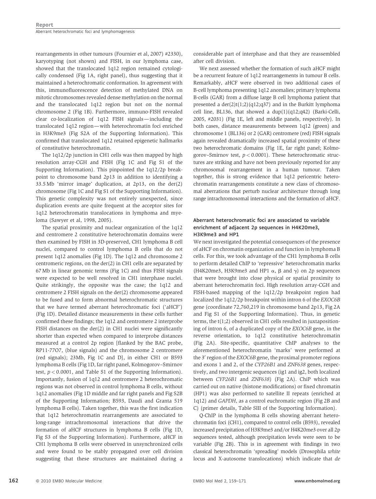rearrangements in other tumours (Fournier et al, 2007) #2330), karyotyping (not shown) and FISH, in our lymphoma case, showed that the translocated 1q12 region remained cytologically condensed (Fig 1A, right panel), thus suggesting that it maintained a heterochromatic conformation. In agreement with this, immunofluorescence detection of methylated DNA on mitotic chromosomes revealed dense methylation on the normal and the translocated 1q12 region but not on the normal chromosome 2 (Fig 1B). Furthermore, immuno-FISH revealed clear co-localization of 1q12 FISH signals—including the translocated 1q12 region—with heterochromatin foci enriched in H3K9me3 (Fig S2A of the Supporting Information). This confirmed that translocated 1q12 retained epigenetic hallmarks of constitutive heterochromatin.

The 1q12/2p junction in CH1 cells was then mapped by high resolution array-CGH and FISH (Fig 1C and Fig S1 of the Supporting Information). This pinpointed the 1q12/2p breakpoint to chromosome band 2p13 in addition to identifying a 33.5 Mb 'mirror image' duplication, at 2p13, on the der(2) chromosome (Fig 1C and Fig S1 of the Supporting Information). This genetic complexity was not entirely unexpected, since duplication events are quite frequent at the acceptor sites for 1q12 heterochromatin translocations in lymphoma and myeloma (Sawyer et al, 1998, 2005).

The spatial proximity and nuclear organization of the 1q12 and centromere 2 constitutive heterochromatin domains were then examined by FISH in 3D-preserved, CH1 lymphoma B cell nuclei, compared to control lymphoma B cells that do not present 1q12 anomalies (Fig 1D). The 1q12 and chromosome 2 centromeric regions, on the der(2) in CH1 cells are separated by 67 Mb in linear genomic terms (Fig 1C) and thus FISH signals were expected to be well resolved in CH1 interphase nuclei. Quite strikingly, the opposite was the case; the 1q12 and centromere 2 FISH signals on the der(2) chromosome appeared to be fused and to form abnormal heterochromatic structures that we have termed aberrant heterochromatic foci ('aHCF') (Fig 1D). Detailed distance measurements in these cells further confirmed these findings; the 1q12 and centromere 2 interprobe FISH distances on the der(2) in CH1 nuclei were significantly shorter than expected when compared to interprobe distances measured at a control 2p region [flanked by the BAC probe, RP11-77O7, (blue signals) and the chromosome 2 centromere (red signals); 23Mb, Fig 1C and D], in either CH1 or B593 lymphoma B cells (Fig 1D, far right panel, Kolmogorov–Smirnov test,  $p < 0.0001$ , and Table S1 of the Supporting Information). Importantly, fusion of 1q12 and centromere 2 heterochromatic regions was not observed in control lymphoma B cells, without 1q12 anomalies (Fig 1D middle and far right panels and Fig S2B of the Supporting Information; B593, Daudi and Granta 519 lymphoma B cells). Taken together, this was the first indication that 1q12 heterochromatin rearrangements are associated to long-range intrachromosomal interactions that drive the formation of aHCF structures in lymphoma B cells (Fig 1D, Fig S3 of the Supporting Information). Furthermore, aHCF in CH1 lymphoma B cells were observed in unsynchronized cells and were found to be stably propagated over cell division suggesting that these structures are maintained during a considerable part of interphase and that they are reassembled after cell division.

We next assessed whether the formation of such aHCF might be a recurrent feature of 1q12 rearrangements in tumour B cells. Remarkably, aHCF were observed in two additional cases of B-cell lymphoma presenting 1q12 anomalies; primary lymphoma B-cells (GAR) from a diffuse large B cell lymphoma patient that presented a  $der(2)t(1;2)(q12;q37)$  and in the Burkitt lymphoma cell line, BL136, that showed a dup(1)(q12;q42) (Barki-Celli, 2005, #2031) (Fig 1E, left and middle panels, respectively). In both cases, distance measurements between 1q12 (green) and chromosome 1 (BL136) or 2 (GAR) centromere (red) FISH signals again revealed dramatically increased spatial proximity of these two heterochromatic domains (Fig 1E, far right panel; Kolmogorov–Smirnov test,  $p < 0.0001$ ). These heterochromatic structures are striking and have not been previously reported for any chromosomal rearrangement in a human tumour. Taken together, this is strong evidence that 1q12 pericentric heterochromatin rearrangements constitute a new class of chromosomal aberrations that perturb nuclear architecture through long range intrachromosomal interactions and the formation of aHCF.

# Aberrant heterochromatic foci are associated to variable enrichment of adjacent 2p sequences in H4K20me3, H3K9me3 and HP1

We next investigated the potential consequences of the presence of aHCF on chromatin organization and function in lymphoma B cells. For this, we took advantage of the CH1 lymphoma B cells to perform detailed ChIP to 'repressive' heterochromatin marks (H4K20me3, H3K9me3 and HP1  $\alpha$ ,  $\beta$  and  $\gamma$ ) on 2p sequences that were brought into close physical or spatial proximity to aberrant heterochromatin foci. High resolution array-CGH and FISH-based mapping of the 1q12/2p breakpoint region had localized the 1q12/2p breakpoint within intron 6 of the EXOC6B gene (coordinate 72,760,219 in chromosome band 2p13, Fig 2A and Fig S1 of the Supporting Information). Thus, in genetic terms, the t(1;2) observed in CH1 cells resulted in juxtapositioning of intron 6, of a duplicated copy of the EXOC6B gene, in the reverse orientation, to 1q12 constitutive heterochromatin (Fig 2A). Site-specific, quantitative ChIP analyses to the aforementioned heterochromatin 'marks' were performed at the 3' region of the EXOC6B gene, the proximal promoter regions and exons 1 and 2, of the CYP26B1 and ZNF638 genes, respectively, and two intergenic sequences (ig1 and ig2, both localized between CYP26B1 and ZNF638) (Fig 2A). ChiP which was carried out on native (histone modifications) or fixed chromatin (HP1) was also performed to satellite II repeats (enriched at 1q12) and GAPDH, as a control euchromatic region (Fig 2B and C) (primer details, Table SIII of the Supporting Information).

Q-ChIP in the lymphoma B cells showing aberrant heterochromatin foci (CH1), compared to control cells (B593), revealed increased precipitation of H3K9me3 and/or H4K20me3 over all 2p sequences tested, although precipitation levels were seen to be variable (Fig 2B). This is in agreement with findings in two classical heterochromatin 'spreading' models (Drosophila white locus and X-autosome translocations) which indicate that de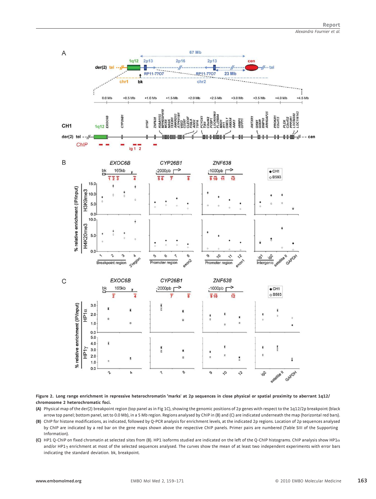

#### Figure 2. Long range enrichment in repressive heterochromatin 'marks' at 2p sequences in close physical or spatial proximity to aberrant 1q12/ chromosome 2 heterochromatic foci.

- (A) Physical map of the der(2) breakpoint region (top panel as in Fig 1C), showing the genomic positions of 2p genes with respect to the 1q12/2p breakpoint (black arrow top panel; bottom panel, set to 0.0 Mb), in a 5 Mb region. Regions analysed by ChIP in (B) and (C) are indicated underneath the map (horizontal red bars). (B) ChIP for histone modifications, as indicated, followed by Q-PCR analysis for enrichment levels, at the indicated 2p regions. Location of 2p sequences analysed by ChIP are indicated by a red bar on the gene maps shown above the respective ChIP panels. Primer pairs are numbered (Table SIII of the Supporting
- Information). (C) HP1 Q-ChIP on fixed chromatin at selected sites from (B). HP1 isoforms studied are indicated on the left of the Q-ChIP histograms. ChIP analysis show HP1 $\alpha$
- and/or HP1<sub>Y</sub> enrichment at most of the selected sequences analysed. The curves show the mean of at least two independent experiments with error bars indicating the standard deviation. bk, breakpoint.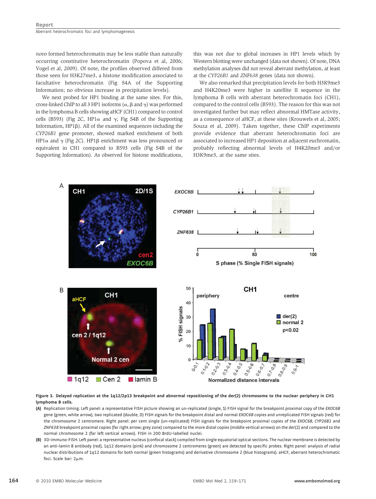novo formed heterochromatin may be less stable than naturally occurring constitutive heterochromatin (Popova et al, 2006; Vogel et al, 2009). Of note, the profiles observed differed from those seen for H3K27me3, a histone modification associated to facultative heterochromatin (Fig S4A of the Supporting Information; no obvious increase in precipitation levels).

We next probed for HP1 binding at the same sites. For this, cross-linked ChIP to all 3 HP1 isoforms  $(\alpha, \beta \text{ and } \gamma)$  was performed in the lymphoma B cells showing aHCF (CH1) compared to control cells (B593) (Fig 2C, HP1 $\alpha$  and  $\gamma$ ; Fig S4B of the Supporting Information, HP1 $\beta$ ). All of the examined sequences including the CYP26B1 gene promoter, showed marked enrichment of both HP1 $\alpha$  and  $\gamma$  (Fig 2C). HP1 $\beta$  enrichment was less pronounced or equivalent in CH1 compared to B593 cells (Fig S4B of the Supporting Information). As observed for histone modifications, this was not due to global increases in HP1 levels which by Western blotting were unchanged (data not shown). Of note, DNA methylation analyses did not reveal aberrant methylation, at least at the CYP26B1 and ZNF638 genes (data not shown).

We also remarked that precipitation levels for both H3K9me3 and H4K20me3 were higher in satellite II sequence in the lymphoma B cells with aberrant heterochromatin foci (CH1), compared to the control cells (B593). The reason for this was not investigated further but may reflect abnormal HMTase activity, as a consequence of aHCF, at these sites (Krouwels et al, 2005; Souza et al, 2009). Taken together, these ChIP experiments provide evidence that aberrant heterochromatin foci are associated to increased HP1 deposition at adjacent euchromatin, probably reflecting abnormal levels of H4K20me3 and/or H3K9me3, at the same sites.



Figure 3. Delayed replication at the 1q12/2p13 breakpoint and abnormal repositioning of the der(2) chromosome to the nuclear periphery in CH1 lymphoma B cells.

- (A) Replication timing. Left panel: a representative FISH picture showing an un-replicated (single, S) FISH signal for the breakpoint proximal copy of the EXOC6B gene (green, white arrow), two replicated (double, D) FISH signals for the breakpoint distal and normal EXOC6B copies and unreplicated FISH signals (red) for the chromosome 2 centromere. Right panel: per cent single (un-replicated) FISH signals for the breakpoint proximal copies of the EXOC6B, CYP26B1 and ZNF638 breakpoint proximal copies (far right arrow; grey zone) compared to the more distal copies (middle vertical arrows) on the der(2) and compared to the normal chromosome 2 (far left vertical arrows). FISH in 200 BrdU-labelled nuclei.
- (B) 3D-immuno-FISH. Left panel: a representative nucleus (confocal stack) compiled from single equatorial optical sections. The nuclear membrane is detected by an anti-lamin B antibody (red), 1q12 domains (pink) and chromosome 2 centromeres (green) are detected by specific probes. Right panel: analysis of radial nuclear distributions of 1q12 domains for both normal (green histograms) and derivative chromosome 2 (blue histograms). aHCF, aberrant heterochromatic foci. Scale bar:  $2\mu$ m.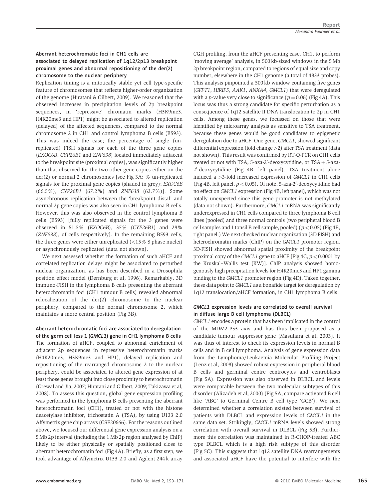## Aberrant heterochromatic foci in CH1 cells are associated to delayed replication of 1q12/2p13 breakpoint proximal genes and abnormal repositioning of the der(2) chromosome to the nuclear periphery

Replication timing is a mitotically stable yet cell type-specific feature of chromosomes that reflects higher-order organization of the genome (Hiratani & Gilbert, 2009). We reasoned that the observed increases in precipitation levels of 2p breakpoint sequences, in 'repressive' chromatin marks (H3K9me3, H4K20me3 and HP1) might be associated to altered replication (delayed) of the affected sequences, compared to the normal chromosome 2 in CH1 and control lymphoma B cells (B593). This was indeed the case; the percentage of single (unreplicated) FISH signals for each of the three gene copies (EXOC6B, CYP26B1 and ZNF638) located immediately adjacent to the breakpoint site (proximal copies), was significantly higher than that observed for the two other gene copies either on the der(2) or normal 2 chromosomes [see Fig 3A; % un-replicated signals for the proximal gene copies (shaded in grey); EXOC6B (66.5%), CYP26B1 (67.2%) and ZNF638 (63.7%)]. Some asynchronous replication between the 'breakpoint distal' and normal 2p gene copies was also seen in CH1 lymphoma B cells. However, this was also observed in the control lymphoma B cells (B593) [fully replicated signals for the 3 genes were observed in 51.5% (EXOC6B), 35% (CYP26B1) and 28% (ZNF638), of cells respectively]. In the remaining B593 cells, the three genes were either unreplicated  $\left($  < 15% S phase nuclei) or asynchronously replicated (data not shown).

We next assessed whether the formation of such aHCF and correlated replication delays might be associated to perturbed nuclear organization, as has been described in a Drosophila position effect model (Dernburg et al, 1996). Remarkably, 3D immuno-FISH in the lymphoma B cells presenting the aberrant heterochromatin foci (CH1 tumour B cells) revealed abnormal relocalization of the der(2) chromosome to the nuclear periphery, compared to the normal chromosome 2, which maintains a more central position (Fig 3B).

#### Aberrant heterochromatic foci are associated to deregulation of the germ cell less 1 (GMCL1) gene in CH1 lymphoma B cells

The formation of aHCF, coupled to abnormal enrichment of adjacent 2p sequences in repressive heterochromatin marks (H4K20me3, H3K9me3 and HP1), delayed replication and repositioning of the rearranged chromosome 2 to the nuclear periphery, could be associated to altered gene expression of at least those genes brought into close proximity to heterochromatin (Grewal and Jia, 2007; Hiratani and Gilbert, 2009; Takizawa et al, 2008). To assess this question, global gene expression profiling was performed in the lymphoma B cells presenting the aberrant heterochromatin foci (CH1), treated or not with the histone deacetylase inhibitor, trichostatin A (TSA), by using U133 2.0 Affymetrix gene chip arrays (GSE20666). For the reasons outlined above, we focused our differential gene expression analysis on a 5 Mb 2p interval (including the 1 Mb 2p region analysed by ChIP) likely to be either physically or spatially positioned close to aberrant heterochromatin foci (Fig 4A). Briefly, as a first step, we took advantage of Affymetrix U133 2.0 and Agilent 244 k array

CGH profiling, from the aHCF presenting case, CH1, to perform 'moving average' analysis, in 500 kb-sized windows in the 5 Mb 2p breakpoint region, compared to regions of equal size and copy number, elsewhere in the CH1 genome (a total of 4833 probes). This analysis pinpointed a 500 kb window containing five genes (GFPT1, HIRIP5, AAK1, ANXA4, GMCL1) that were deregulated with a *p*-value very close to significance ( $p = 0.06$ ) (Fig 4A). This locus was thus a strong candidate for specific perturbation as a consequence of 1q12 satellite II DNA translocation to 2p in CH1 cells. Among these genes, we focussed on those that were identified by microarray analysis as sensitive to TSA treatment, because these genes would be good candidates to epigenetic deregulation due to aHCF. One gene, GMCL1, showed significant differential expression (fold change >2) after TSA treatment (data not shown). This result was confirmed by RT-Q-PCR on CH1 cells treated or not with TSA, 5-aza-2'-deoxycytidine, or TSA + 5-aza-2 0 -deoxycytidine (Fig 4B, left panel). TSA treatment alone induced a >3-fold increased expression of GMCL1 in CH1 cells (Fig 4B, left panel,  $p < 0.05$ ). Of note, 5-aza-2'-deoxycytidine had no effect on GMCL1 expression (Fig 4B, left panel), which was not totally unexpected since this gene promoter is not methylated (data not shown). Furthermore, GMCL1 mRNA was significantly underexpressed in CH1 cells compared to three lymphoma B cell lines (pooled) and three normal controls (two peripheral blood B cell samples and 1 tonsil B cell sample, pooled) ( $p < 0.05$ ) (Fig 4B, right panel.) We next checked nuclear organization (3D FISH) and heterochromatin marks (ChIP) on the GMCL1 promoter region. 3D-FISH showed abnormal spatial proximity of the breakpoint proximal copy of the *GMCL1* gene to aHCF [Fig 4C,  $p < 0.0001$  by the Kruskal–Wallis test (KW)]. ChIP analysis showed homogenously high precipitation levels for H4K20me3 and HP1 gamma binding to the GMCL1 promoter region (Fig 4D). Taken together, these data point to GMCL1 as a bonafide target for deregulation by 1q12 translocation/aHCF formation, in CH1 lymphoma B cells.

## GMCL1 expression levels are correlated to overall survival in diffuse large B cell lymphoma (DLBCL)

GMCL1 encodes a protein that has been implicated in the control of the MDM2-P53 axis and has thus been proposed as a candidate tumour suppressor gene (Masuhara et al, 2003). It was thus of interest to check its expression levels in normal B cells and in B cell lymphoma. Analysis of gene expression data from the Lymphoma/Leukaemia Molecular Profiling Project (Lenz et al, 2008) showed robust expression in peripheral blood B cells and germinal centre centrocytes and centroblasts (Fig 5A). Expression was also observed in DLBCL and levels were comparable between the two molecular subtypes of this disorder (Alizadeh et al, 2000) (Fig 5A, compare activated B cell like 'ABC' to Germinal Centre B cell type 'GCB'). We next determined whether a correlation existed between survival of patients with DLBCL and expression levels of GMCL1 in the same data set. Strikingly, GMCL1 mRNA levels showed strong correlation with overall survival in DLBCL (Fig 5B). Furthermore this correlation was maintained in R-CHOP-treated ABC type DLBCL which is a high risk subtype of this disorder (Fig 5C). This suggests that 1q12 satellite DNA rearrangements and associated aHCF have the potential to interfere with the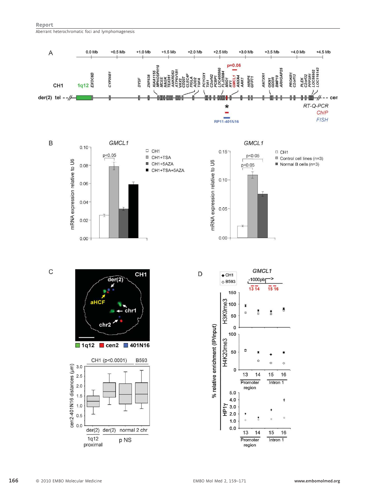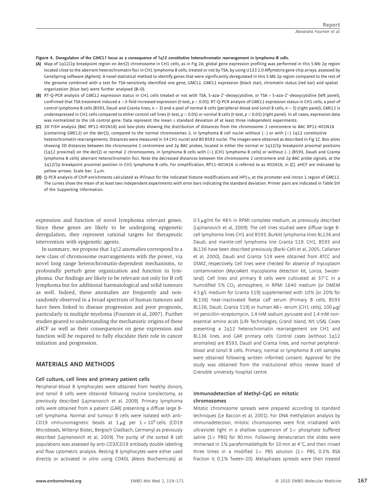#### Figure 4. Deregulation of the GMCL1 locus as a consequence of 1q12 constitutive heterochromatin rearrangement in lymphoma B cells.

- (A) Map of 1q12/2p breakpoint region on der(2) chromosome in CH1 cells, as in Fig 2A; global gene expression profiling was performed in this 5 Mb 2p region located close to the aberrant heterochromatin foci in CH1 lymphoma B cells, treated or not by TSA, by using U133 2.0 Affymetrix gene chip arrays, assessed by GeneSpring software (Agilent). A novel statistical method to identify genes that were significantly deregulated in this 5 Mb 2p region compared to the rest of the genome combined with a test for TSA-sensitivity identified one gene, GMCL1. GMCL1 expression (black star), chromatin status (red bar) and spatial organization (blue bar) were further analysed (B–D).
- (B) RT-Q-PCR analysis of GMCL1 expression status in CH1 cells treated or not with TSA, 5-aza-2'-deoxycytidine, or TSA + 5-aza-2'-deoxycytidine (left panel), confirmed that TSA treatment induced a >3-fold increased expression (t-test,  $p < 0.05$ ). RT-O-PCR analysis of GMCL1 expression status in CH1 cells, a pool of control lymphoma B cells (B593, Daudi and Granta lines;  $n = 3$ ) and a pool of normal B cells (peripheral-blood and tonsil B cells,  $n = 3$ ) (right panel); GMCL1 is underexpressed in CH1 cells compared to either control cell lines (t-test,  $p < 0.05$ ) or normal B cells (t-test,  $p < 0.05$ ) (right panel). In all cases, expression data was normalized to the U6 control gene. Data represent the mean $\pm$ standard deviation of at least three independent experiments.
- (C) 3D FISH analysis (BAC RP11-401N16) and box-plots showing the distribution of distances from the chromosome 2 centromere to BAC RP11-401N16 (containing GMCL1) on the der(2), compared to the normal chromosomes 2, in lymphoma B cell nuclei without  $(-)$  or with  $(+)$  1q12 constitutive heterochromatin rearrangements. Distances were measured in 54 CH1 nuclei and 80 B593 nuclei. The images were obtained as described in Fig 1C. Box-plots showing 3D distances between the chromosome 2 centromere and 2p BAC probes, located in either the normal or 1q12/2p breakpoint proximal positions (1q12 proximal) on the der(2) or normal 2 chromosomes, in lymphoma B cells with (+) (CH1 lymphoma B cells) or without (-) (B593, Daudi and Granta lymphoma B cells) aberrant heterochromatin foci. Note the decreased distances between the chromosome 2 centromere and 2p BAC probe signals, at the 1q12/2p breakpoint proximal position in CH1 lymphoma B cells. For simplification, RP11-401N16 is referred to as 401N16, in (C). aHCF are indicated by yellow arrows. Scale bar:  $2 \mu m$ .
- (D) Q-PCR analysis of ChIP enrichments calculated as IP/input for the indicated histone modifications and HP1 $\gamma$ , at the promoter and intron 1 region of GMCL1. The curves show the mean of at least two independent experiments with error bars indicating the standard deviation. Primer pairs are indicated in Table SIII of the Supporting Information.

expression and function of novel lymphoma relevant genes. Since these genes are likely to be undergoing epigenetic deregulation, they represent rational targets for therapeutic intervention with epigenetic agents.

In summary, we propose that 1q12 anomalies correspond to a new class of chromosome rearrangements with the power, via novel long range heterochromatin-dependent mechanisms, to profoundly perturb gene organization and function in lymphoma. Our findings are likely to be relevant not only for B cell lymphoma but for additional haematological and solid tumours as well. Indeed, these anomalies are frequently and nonrandomly observed in a broad spectrum of human tumours and have been linked to disease progression and poor prognosis, particularly in multiple myeloma (Fournier et al, 2007). Further studies geared to understanding the mechanistic origins of these aHCF as well as their consequences on gene expression and function will be required to fully elucidate their role in cancer initiation and progression.

## MATERIALS AND METHODS

#### Cell culture, cell lines and primary patient cells

Peripheral-blood B lymphocytes were obtained from healthy donors, and tonsil B cells were obtained following routine tonsilectomy, as previously described (Lajmanovich et al, 2009). Primary lymphoma cells were obtained from a patient (GAR) presenting a diffuse large Bcell lymphoma. Normal and tumour B cells were isolated with anti-CD19 immunomagnetic beads at  $1 \mu$ g per  $1 \times 10^6$ cells (CD19 Microbeads, Miltenyi Biotec, Bergisch Gladbach, Germany) as previously described (Lajmanovich et al, 2009). The purity of the sorted B cell populations was assessed by anti-CD3/CD19 antibody double labelling and flow cytometric analysis. Resting B lymphocytes were either used directly or activated in vitro using CD40L (Alexis Biochemicals) at

 $0.5 \,\mu$ g/ml for 48 h in RPMI complete medium, as previously described (Lajmanovich et al, 2009). The cell lines studied were diffuse large Bcell lymphoma lines CH1 and B593, Burkitt lymphoma lines BL136 and Daudi, and mantle-cell lymphoma line Granta 519. CH1, B593 and BL136 have been described previously (Barki-Celli et al, 2005; Callanan et al, 2000), Daudi and Granta 519 were obtained from ATCC and DSMZ, respectively. Cell lines were checked for absence of mycoplasm contamination (MycoAlert mycoplasma detection kit, Lonza, Swizerland). Cell lines and primary B cells were cultivated at  $37^{\circ}$ C in a humidified 5%  $CO<sub>2</sub>$  atmosphere, in RPMI 1640 medium (or DMEM 4.5 g/L medium for Granta 519) supplemented with 10% (or 20% for BL136) heat-inactivated foetal calf serum (Primary B cells, B593 BL136, Daudi, Granta 519) or human AB+ serum (CH1 cells),  $100 \mu g$ / ml penicillin–streptomycin, 1.4 mM sodium pyruvate and 1.4 mM nonessential amino acids (Life Technologies, Grand Island, NY, USA). Cases presenting a 1q12 heterochromatin rearrangement are CH1 and BL136 lines, and GAR primary cells. Control cases (without 1q12 anomalies) are B593, Daudi and Granta lines, and normal peripheralblood and tonsil B cells. Primary, normal or lymphoma B cell samples were obtained following written informed consent. Approval for the study was obtained from the institutional ethics review board of Grenoble university hospital centre.

#### Immunodetection of Methyl-CpG on mitotic chromosomes

Mitotic chromosome spreads were prepared according to standard techniques (Le Baccon et al, 2001). For DNA methylation analysis by immunodetection, mitotic chromosomes were first irradiated with ultraviolet light in a shallow suspension of  $1 \times$  phosphate buffered saline ( $1 \times$  PBS) for 90 min. Following denaturation the slides were immersed in 1% paraformaldehyde for 10 min at  $4^{\circ}$ C, and then rinsed three times in a modified  $1 \times$  PBS solution (1 x PBS, 0.3% BSA fraction V, 0.1% Tween-20). Metaphases spreads were then treated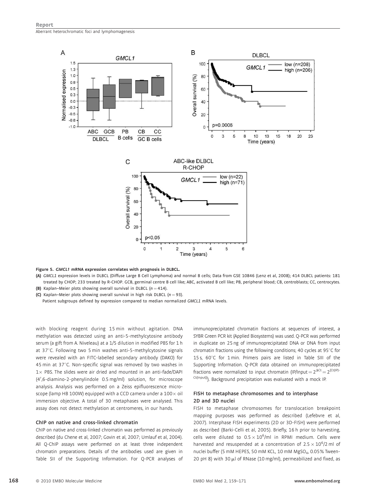

#### Figure 5. GMCL1 mRNA expression correlates with prognosis in DLBCL.

(A) GMCL1 expression levels in DLBCL (Diffuse Large B Cell Lymphoma) and normal B cells; Data from GSE 10846 (Lenz et al, 2008); 414 DLBCL patients: 181 treated by CHOP; 233 treated by R-CHOP. GCB, germinal centre B cell like; ABC, activated B cell like; PB, peripheral blood; CB, centroblasts; CC, centrocytes. (B) Kaplan–Meier plots showing overall survival in DLBCL ( $n = 414$ ).

(C) Kaplan–Meier plots showing overall survival in high risk DLBCL ( $n = 93$ ).

Patient subgroups defined by expression compared to median normalized GMCL1 mRNA levels.

with blocking reagent during 15 min without agitation. DNA methylation was detected using an anti-5-methylcytosine antibody serum (a gift from A. Niveleau) at a 1/5 dilution in modified PBS for 1 h at 37°C. Following two 5 min washes anti-5-methylcytosine signals were revealed with an FITC-labelled secondary antibody (DAKO) for 45 min at  $37^{\circ}$ C. Non-specific signal was removed by two washes in  $1 \times$  PBS. The slides were air dried and mounted in an anti-fade/DAPI (4',6-diamino-2-phenylindole 0.5 mg/ml) solution, for microscope analysis. Analysis was performed on a Zeiss epifluorescence microscope (lamp HB 100W) equipped with a CCD camera under a  $100 \times$  oil immersion objective. A total of 30 metaphases were analysed. This assay does not detect methylation at centromeres, in our hands.

#### ChIP on native and cross-linked chromatin

ChIP on native and cross-linked chromatin was performed as previously described (du Chene et al, 2007; Govin et al, 2007; Umlauf et al, 2004). All Q-ChIP assays were performed on at least three independent chromatin preparations. Details of the antibodies used are given in Table SII of the Supporting Information. For Q-PCR analyses of immunoprecipitated chromatin fractions at sequences of interest, a SYBR Green PCR kit (Applied Biosystems) was used. Q-PCR was performed in duplicate on 25 ng of immunoprecipitated DNA or DNA from input chromatin fractions using the following conditions; 40 cycles at 95 $\degree$ C for 15 s,  $60^{\circ}$ C for 1 min. Primers pairs are listed in Table SIII of the Supporting Information. Q-PCR data obtained on immunoprecipitated fractions were normalized to input chromatin (IP/Input =  $2^{\Delta Ct}$  =  $2^{[Ct(IP)-}$ Ct(Input)]). Background precipitation was evaluated with a mock IP.

#### FISH to metaphase chromosomes and to interphase 2D and 3D nuclei

FISH to metaphase chromosomes for translocation breakpoint mapping purposes was performed as described (Lefebvre et al, 2007). Interphase FISH experiments (2D or 3D-FISH) were performed as described (Barki-Celli et al, 2005). Briefly, 16 h prior to harvesting, cells were diluted to  $0.5 \times 10^6$ /ml in RPMI medium. Cells were harvested and resuspended at a concentration of  $2.5 \times 10^6/2$  ml of nuclei buffer (5 mM HEPES, 50 mM KCL, 10 mM MgSO4, 0.05% Tween-20 pH 8) with 30  $\mu$ l of RNase (10 mg/ml), permeabilized and fixed, as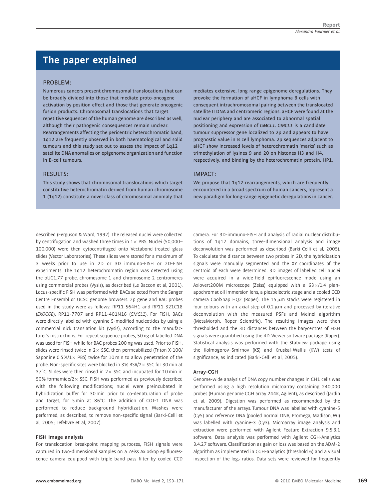# The paper explained

#### PROBLEM:

Numerous cancers present chromosomal translocations that can be broadly divided into those that mediate proto-oncogene activation by position effect and those that generate oncogenic fusion products. Chromosomal translocations that target repetitive sequences of the human genome are described as well, although their pathogenic consequences remain unclear. Rearrangements affecting the pericentric heterochromatic band, 1q12 are frequently observed in both haematological and solid tumours and this study set out to assess the impact of 1q12 satellite DNA anomalies on epigenome organization and function in B-cell tumours.

#### RESULTS:

This study shows that chromosomal translocations which target constitutive heterochromatin derived from human chromosome 1 (1q12) constitute a novel class of chromosomal anomaly that mediates extensive, long range epigenome deregulations. They provoke the formation of aHCF in lymphoma B cells with consequent intrachromosomal pairing between the translocated satellite II DNA and centromeric regions. aHCF were found at the nuclear periphery and are associated to abnormal spatial positioning and expression of GMCL1. GMCL1 is a candidate tumour suppressor gene localized to 2p and appears to have prognostic value in B cell lymphoma. 2p sequences adjacent to aHCF show increased levels of heterochromatin 'marks' such as trimethylation of lysines 9 and 20 on histones H3 and H4, respectively, and binding by the heterochromatin protein, HP1.

## IMPACT:

We propose that 1q12 rearrangements, which are frequently encountered in a broad spectrum of human cancers, represent a new paradigm for long-range epigenetic deregulations in cancer.

described (Ferguson & Ward, 1992). The released nuclei were collected by centrifugation and washed three times in  $1 \times$  PBS. Nuclei (50,000– 100,000) were then cytocentrifuged onto Vectabond-treated glass slides (Vector Laboratories). These slides were stored for a maximum of 3 weeks prior to use in 2D or 3D immuno-FISH or 2D-FISH experiments. The 1q12 heterochromatin region was detected using the pUC1.77 probe, chromosome 1 and chromosome 2 centromeres using commercial probes (Vysis), as described (Le Baccon et al, 2001). Locus-specific FISH was performed with BACs selected from the Sanger Centre Ensembl or UCSC genome browsers. 2p gene and BAC probes used in the study were as follows: RP11-564H1 and RP11-321C18 (EXOC6B), RP11-7707 and RP11-401N16 (GMCL1). For FISH, BACs were directly labelled with cyanine 5-modified nucleotides by using a commercial nick translation kit (Vysis), according to the manufacturer's instructions. For repeat sequence probes, 50 ng of labelled DNA was used for FISH while for BAC probes 200 ng was used. Prior to FISH, slides were rinsed twice in  $2 \times$  SSC, then permeabilized (Triton X-100/ Saponine 0.5%/1 $\times$  PBS) twice for 10 min to allow penetration of the probe. Non-specific sites were blocked in 3% BSA/2 $\times$  SSC for 30 min at 37 $^{\circ}$ C. Slides were then rinsed in 2  $\times$  SSC and incubated for 10 min in 50% formamide/2 $\times$  SSC. FISH was performed as previously described with the following modifications; nuclei were preincubated in hybridization buffer for 30 min prior to co-denaturation of probe and target, for 5 min at 86 $^{\circ}$ C. The addition of COT-1 DNA was performed to reduce background hybridization. Washes were performed, as described, to remove non-specific signal (Barki-Celli et al, 2005; Lefebvre et al, 2007).

#### FISH Image analysis

For translocation breakpoint mapping purposes, FISH signals were captured in two-dimensional samples on a Zeiss Axioskop epifluorescence camera equipped with triple band pass filter by cooled CCD camera. For 3D-immuno-FISH and analysis of radial nuclear distributions of 1q12 domains, three-dimensional analysis and image deconvolution was performed as described (Barki-Celli et al, 2005). To calculate the distance between two probes in 2D, the hybridization signals were manually segmented and the XY coordinates of the centroid of each were determined. 3D images of labelled cell nuclei were acquired in a wide-field epifluorescence mode using an Axiovert200M microscope (Zeiss) equipped with a  $63\times/1.4$  planapochromat oil immersion lens, a piezoelectric stage and a cooled CCD camera CoolSnap HQ2 (Roper). The 15  $\mu$ m stacks were registered in four colours with an axial step of 0.2  $\mu$ m and processed by iterative deconvolution with the measured PSFs and Meinel algorithm (MetaMorph, Roper Scientific). The resulting images were then thresholded and the 3D distances between the barycentres of FISH signals were quantified using the 4D-Viewer software package (Roper). Statistical analysis was performed with the Statview package using the Kolmogorov–Smirnov (KS) and Kruskal-Wallis (KW) tests of significance, as indicated (Barki-Celli et al, 2005).

#### Array-CGH

Genome-wide analysis of DNA copy number changes in CH1 cells was performed using a high resolution microarray containing 240,000 probes (Human genome CGH array 244K, Agilent), as described (Jardin et al, 2009). Digestion was performed as recommended by the manufacturer of the arrays. Tumour DNA was labelled with cyanine-5 (Cy5) and reference DNA (pooled normal DNA, Promega, Madison, WI) was labelled with cyanine-3 (Cy3). Microarray image analysis and extraction were performed with Agilent Feature Extraction 9.5.3.1 software. Data analysis was performed with Agilent CGH-Analytics 3.4.27 software. Classification as gain or loss was based on the ADM-2 algorithm as implemented in CGH-analytics (threshold 6) and a visual inspection of the  $log<sub>2</sub>$  ratios. Data sets were reviewed for frequently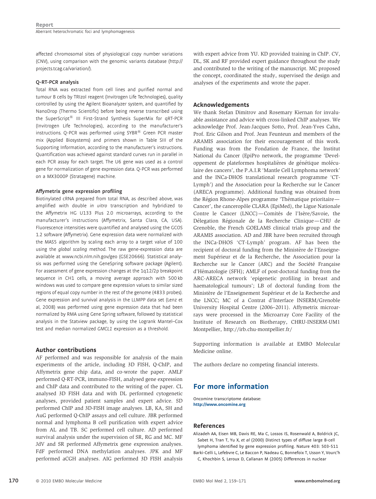affected chromosomal sites of physiological copy number variations (CNV), using comparison with the genomic variants database (http:// projects.tcag.ca/variation/).

#### Q-RT-PCR analysis

Total RNA was extracted from cell lines and purified normal and tumour B cells by TRIzol reagent (Invitrogen Life Technologies), quality controlled by using the Agilent Bioanalyzer system, and quantified by NanoDrop (Thermo Scientific) before being reverse transcribed using the SuperScript $^{(8)}$  III First-Strand Synthesis SuperMix for qRT-PCR (Invitrogen Life Technologies), according to the manufacturer's instructions. Q-PCR was performed using  $\text{SYBR}^{\text{\textregistered}}$  Green PCR master mix (Applied Biosystems) and primers shown in Table SIII of the Supporting Information, according to the manufacturer's instructions. Quantification was achieved against standard curves run in parallel in each PCR assay for each target. The U6 gene was used as a control gene for normalization of gene expression data. Q-PCR was performed on a MX3000P (Stratagene) machine.

#### Affymetrix gene expression profiling

Biotinylated cRNA prepared from total RNA, as described above, was amplified with double in vitro transcription and hybridized to the Affymetrix HG U133 Plus 2.0 microarrays, according to the manufacturer's instructions (Affymetrix, Santa Clara, CA, USA). Fluorescence intensities were quantified and analysed using the GCOS 1.2 software (Affymetrix). Gene expression data were normalized with the MAS5 algorithm by scaling each array to a target value of 100 using the global scaling method. The raw gene-expression data are available at www.ncbi.nlm.nih.gov/geo (GSE20666). Statistical analysis was performed using the GeneSpring software package (Agilent). For assessment of gene expression changes at the 1q12/2p breakpoint sequence in CH1 cells, a moving average approach with 500 kb windows was used to compare gene expression values to similar sized regions of equal copy number in the rest of the genome (4833 probes). Gene expression and survival analysis in the LLMPP data set (Lenz et al, 2008) was performed using gene expression data that had been normalized by RMA using Gene Spring software, followed by statistical analysis in the Statview package, by using the Logrank Mantel–Cox test and median normalized GMCL1 expression as a threshold.

#### Author contributions

AF performed and was responsible for analysis of the main experiments of the article, including 3D FISH, Q-ChIP, and Affymetrix gene chip data, and co-wrote the paper. AMLF performed Q-RT-PCR, immuno-FISH, analysed gene expression and ChIP data and contributed to the writing of the paper. CL analysed 3D FISH data and with DL performed cytogenetic analyses, provided patient samples and expert advice. SD performed ChIP and 3D-FISH image analyses. LB, KA, SH and AuG performed Q-ChIP assays and cell culture. JBR performed normal and lymphoma B cell purification with expert advice from AL and TB. SC performed cell culture. AD performed survival analysis under the supervision of SR, RG and MC. MF JdV and SR performed Affymetrix gene expression analyses. FdF performed DNA methylation analyses. JPK and MF performed aCGH analyses. AIG performed 3D FISH analysis

with expert advice from YU. KD provided training in ChIP. CV, DL, SK and RF provided expert guidance throughout the study and contributed to the writing of the manuscript. MC proposed the concept, coordinated the study, supervised the design and analyses of the experiments and wrote the paper.

#### Acknowledgements

We thank Stefan Dimitrov and Rosemary Kiernan for invaluable assistance and advice with cross-linked ChIP analyses. We acknowledge Prof. Jean-Jacques Sotto, Prof. Jean-Yves Cahn, Prof. Eric Gilson and Prof. Jean Feunteun and members of the ARAMIS association for their encouragement of this work. Funding was from the Fondation de France, the Institut National du Cancer (EpiPro network, the programme 'Developpement de plateformes hospitalières de génétique moléculaire des cancers', the P.A.I.R 'Mantle Cell Lymphoma network' and the INCa-DHOS translational research programme 'CT-Lymph') and the Association pour la Recherche sur le Cancer (ARECA programme). Additional funding was obtained from the Région Rhone-Alpes programme 'Thématique prioritaire— Cancer', the canceropôle CLARA (EpiMed), the Ligue Nationale Contre le Cancer (LNCC)—Comités de l'Isère/Savoie, the Délegation Régionale de la Recherche Clinique—CHU de Grenoble, the French GOELAMS clinical trials group and the ARAMIS association. AD and JBR have been recruited through the INCa-DHOS 'CT-Lymph' program. AF has been the recipient of doctoral funding from the Ministère de l'Enseignement Supérieur et de la Recherche, the Association pour la Recherche sur le Cancer (ARC) and the Société Française d'Hématologie (SFH); AMLF of post-doctoral funding from the ARC-ARECA network 'epigenetic profiling in breast and haematological tumours'; LB of doctoral funding from the Ministère de l'Enseignement Supérieur et de la Recherche and the LNCC; MC of a Contrat d'Interface INSERM/Grenoble University Hospital Centre (2006–2011). Affymetrix microarrays were processed in the Microarray Core Facility of the Institute of Research on Biotherapy, CHRU-INSERM-UM1 Montpellier, http://irb.chu-montpellier.fr/

Supporting information is available at EMBO Molecular Medicine online.

The authors declare no competing financial interests.

# For more information

Oncomine transcriptome database: http://www.oncomine.org

#### References

Alizadeh AA, Eisen MB, Davis RE, Ma C, Lossos IS, Rosenwald A, Boldrick JC, Sabet H, Tran T, Yu X, et al (2000) Distinct types of diffuse large B-cell lymphoma identified by gene expression profiling. Nature 403: 503-511 Barki-Celli L, Lefebvre C, Le Baccon P, Nadeau G, Bonnefoix T, Usson Y, Vourc'h

C, Khochbin S, Leroux D, Callanan M (2005) Differences in nuclear